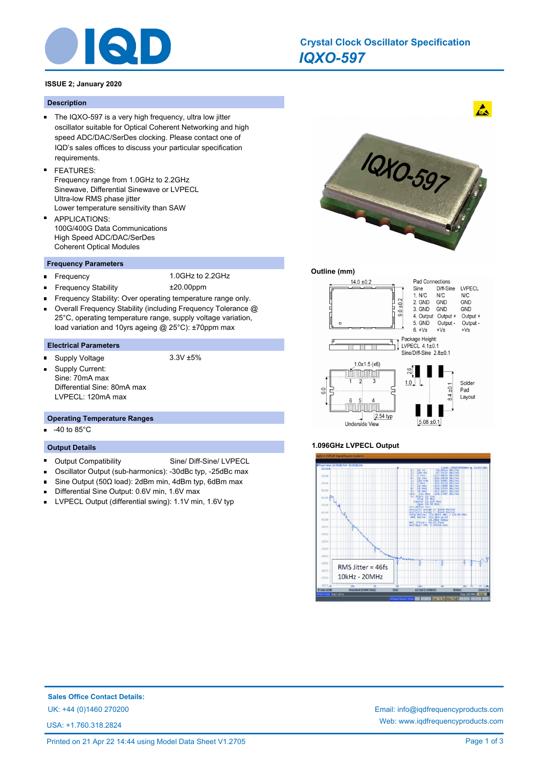

# *IQXO-597* **Crystal Clock Oscillator Specification**

# **ISSUE 2; January 2020**

### **Description**

- The IQXO-597 is a very high frequency, ultra low jitter oscillator suitable for Optical Coherent Networking and high speed ADC/DAC/SerDes clocking. Please contact one of IQD's sales offices to discuss your particular specification requirements.
- FEATURES: Frequency range from 1.0GHz to 2.2GHz Sinewave, Differential Sinewave or LVPECL Ultra-low RMS phase jitter Lower temperature sensitivity than SAW
- APPLICATIONS: 100G/400G Data Communications High Speed ADC/DAC/SerDes Coherent Optical Modules

## **Frequency Parameters**

 $\blacksquare$ 

Frequency 1.0GHz to 2.2GHz

- Frequency Stability ±20.00ppm
- Frequency Stability: Over operating temperature range only.  $\blacksquare$
- Overall Frequency Stability (including Frequency Tolerance @  $\blacksquare$ 25°C, operating temperature range, supply voltage variation, load variation and 10yrs ageing @ 25°C): ±70ppm max

# **Electrical Parameters**

- Supply Voltage 3.3V ±5%
- 
- Supply Current: Sine: 70mA max Differential Sine: 80mA max LVPECL: 120mA max

#### **Operating Temperature Ranges**

-40 to 85°C

#### **Output Details**

- Ė Output Compatibility Sine/ Diff-Sine/ LVPECL
- Oscillator Output (sub-harmonics): -30dBc typ, -25dBc max
- Sine Output (50Ω load): 2dBm min, 4dBm typ, 6dBm max
- Differential Sine Output: 0.6V min, 1.6V max
- LVPECL Output (differential swing): 1.1V min, 1.6V typ  $\blacksquare$



 $\mathbf{A}$ 

# **Outline (mm)**



## **1.096GHz LVPECL Output**



**Sales Office Contact Details:**

USA: +1.760.318.2824

UK: +44 (0)1460 270200 Email: info@iqdfrequencyproducts.com Web: www.iqdfrequencyproducts.com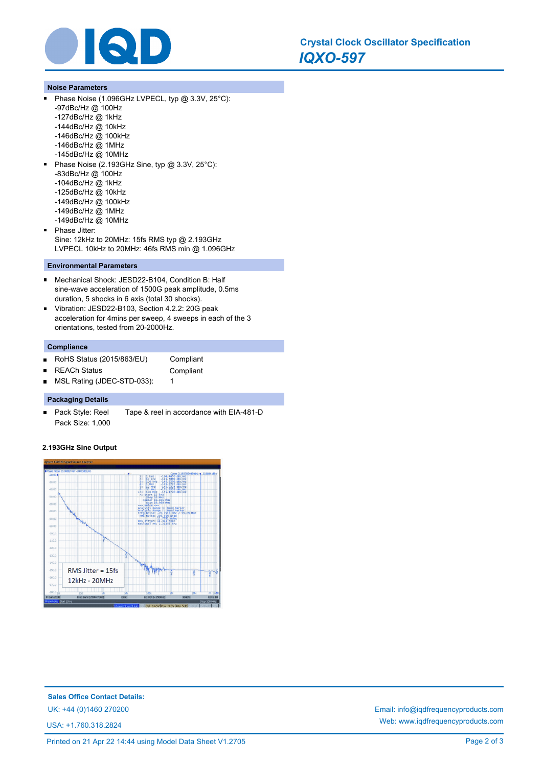

#### **Noise Parameters**

 $\blacksquare$ 

Phase Noise (1.096GHz LVPECL, typ @ 3.3V, 25°C): -97dBc/Hz @ 100Hz -127dBc/Hz @ 1kHz -144dBc/Hz @ 10kHz -146dBc/Hz @ 100kHz -146dBc/Hz @ 1MHz -145dBc/Hz @ 10MHz  $\blacksquare$ Phase Noise (2.193GHz Sine, typ @ 3.3V, 25°C): -83dBc/Hz @ 100Hz -104dBc/Hz @ 1kHz -125dBc/Hz @ 10kHz -149dBc/Hz @ 100kHz -149dBc/Hz @ 1MHz -149dBc/Hz @ 10MHz Phase Jitter: Sine: 12kHz to 20MHz: 15fs RMS typ @ 2.193GHz LVPECL 10kHz to 20MHz: 46fs RMS min @ 1.096GHz

### **Environmental Parameters**

- $\blacksquare$ Mechanical Shock: JESD22-B104, Condition B: Half sine-wave acceleration of 1500G peak amplitude, 0.5ms duration, 5 shocks in 6 axis (total 30 shocks).
- $\blacksquare$ Vibration: JESD22-B103, Section 4.2.2: 20G peak acceleration for 4mins per sweep, 4 sweeps in each of the 3 orientations, tested from 20-2000Hz.

# **Compliance**

 $\blacksquare$ 

- RoHS Status (2015/863/EU) Compliant  $\blacksquare$ 
	- REACh Status **Compliant**
- MSL Rating (JDEC-STD-033): 1  $\blacksquare$

#### **Packaging Details**

Pack Style: Reel Tape & reel in accordance with EIA-481-D Pack Size: 1,000

#### **2.193GHz Sine Output**



**Sales Office Contact Details:** UK: +44 (0)1460 270200 Email: info@iqdfrequencyproducts.com

USA: +1.760.318.2824

Web: www.iqdfrequencyproducts.com